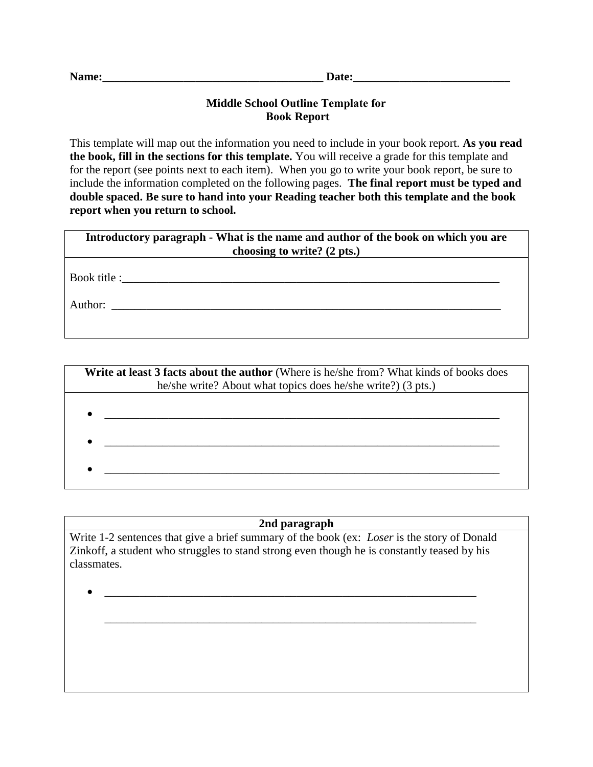| Name:<br>Jate: |
|----------------|
|----------------|

## **Middle School Outline Template for Book Report**

This template will map out the information you need to include in your book report. **As you read the book, fill in the sections for this template.** You will receive a grade for this template and for the report (see points next to each item). When you go to write your book report, be sure to include the information completed on the following pages. **The final report must be typed and double spaced. Be sure to hand into your Reading teacher both this template and the book report when you return to school.** 

| Introductory paragraph - What is the name and author of the book on which you are<br>choosing to write? (2 pts.) |
|------------------------------------------------------------------------------------------------------------------|
| Book title :                                                                                                     |
| Author:                                                                                                          |
|                                                                                                                  |

| Write at least 3 facts about the author (Where is he/she from? What kinds of books does<br>he/she write? About what topics does he/she write?) (3 pts.) |
|---------------------------------------------------------------------------------------------------------------------------------------------------------|
|                                                                                                                                                         |
|                                                                                                                                                         |
|                                                                                                                                                         |
|                                                                                                                                                         |

## **2nd paragraph**

Write 1-2 sentences that give a brief summary of the book (ex: *Loser* is the story of Donald Zinkoff, a student who struggles to stand strong even though he is constantly teased by his classmates.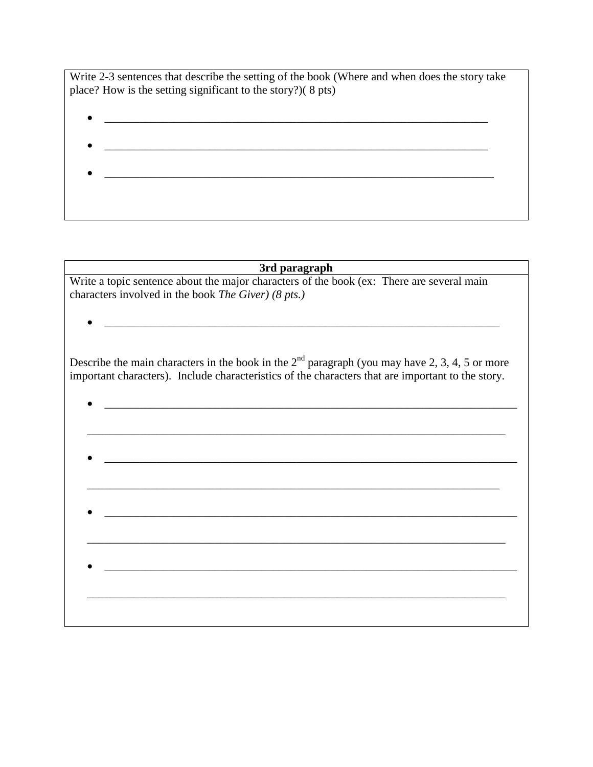Write 2-3 sentences that describe the setting of the book (Where and when does the story take place? How is the setting significant to the story?)( 8 pts)

- 
- 

## **3rd paragraph**

Write a topic sentence about the major characters of the book (ex: There are several main characters involved in the book *The Giver) (8 pts.)*

 $\bullet$ 

Describe the main characters in the book in the  $2<sup>nd</sup>$  paragraph (you may have 2, 3, 4, 5 or more important characters). Include characteristics of the characters that are important to the story.

\_\_\_\_\_\_\_\_\_\_\_\_\_\_\_\_\_\_\_\_\_\_\_\_\_\_\_\_\_\_\_\_\_\_\_\_\_\_\_\_\_\_\_\_\_\_\_\_\_\_\_\_\_\_\_\_\_\_\_\_\_\_\_\_\_\_\_\_\_\_\_\_

\_\_\_\_\_\_\_\_\_\_\_\_\_\_\_\_\_\_\_\_\_\_\_\_\_\_\_\_\_\_\_\_\_\_\_\_\_\_\_\_\_\_\_\_\_\_\_\_\_\_\_\_\_\_\_\_\_\_\_\_\_\_\_\_\_\_\_\_\_\_\_\_

 $\mathcal{L} = \{ \mathcal{L} = \{ \mathcal{L} = \{ \mathcal{L} = \{ \mathcal{L} = \{ \mathcal{L} = \{ \mathcal{L} = \{ \mathcal{L} = \{ \mathcal{L} = \{ \mathcal{L} = \{ \mathcal{L} = \{ \mathcal{L} = \{ \mathcal{L} = \{ \mathcal{L} = \{ \mathcal{L} = \{ \mathcal{L} = \{ \mathcal{L} = \{ \mathcal{L} = \{ \mathcal{L} = \{ \mathcal{L} = \{ \mathcal{L} = \{ \mathcal{L} = \{ \mathcal{L} = \{ \mathcal{L} = \{ \mathcal{$ 

\_\_\_\_\_\_\_\_\_\_\_\_\_\_\_\_\_\_\_\_\_\_\_\_\_\_\_\_\_\_\_\_\_\_\_\_\_\_\_\_\_\_\_\_\_\_\_\_\_\_\_\_\_\_\_\_\_\_\_\_\_\_\_\_\_\_\_\_\_\_\_\_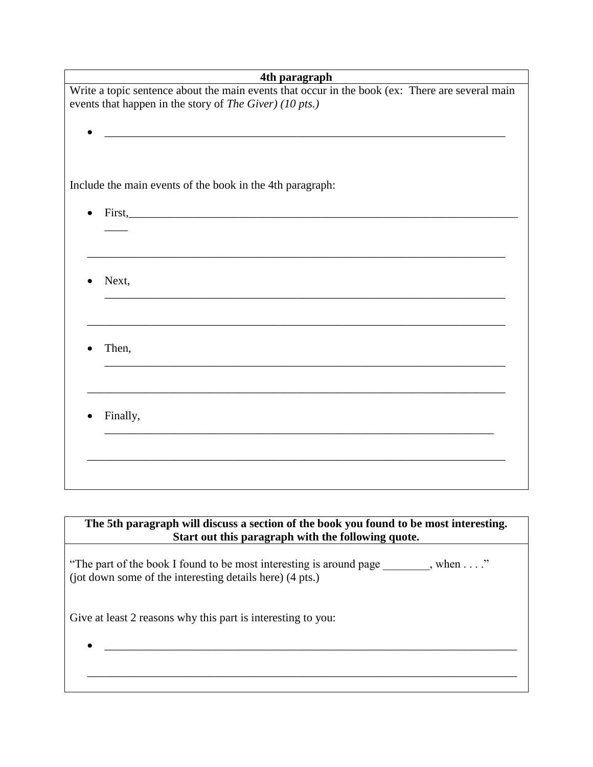| 4th paragraph                                                                                                       |
|---------------------------------------------------------------------------------------------------------------------|
| Write a topic sentence about the main events that occur in the book (ex: There are several main                     |
| events that happen in the story of The Giver) (10 pts.)                                                             |
|                                                                                                                     |
| <u> 1980 - Jan James, margin de la propinsió de la propinsió de la propinsió de la propinsió de la propinsió de</u> |
|                                                                                                                     |
|                                                                                                                     |
| Include the main events of the book in the 4th paragraph:                                                           |
|                                                                                                                     |
| First,                                                                                                              |
|                                                                                                                     |
|                                                                                                                     |
|                                                                                                                     |
| Next,                                                                                                               |
|                                                                                                                     |
|                                                                                                                     |
|                                                                                                                     |
|                                                                                                                     |
| Then,                                                                                                               |
|                                                                                                                     |
|                                                                                                                     |
|                                                                                                                     |
| Finally,                                                                                                            |
|                                                                                                                     |
|                                                                                                                     |
|                                                                                                                     |
|                                                                                                                     |
|                                                                                                                     |

**The 5th paragraph will discuss a section of the book you found to be most interesting. Start out this paragraph with the following quote.** 

"The part of the book I found to be most interesting is around page \_\_\_\_\_\_\_\_, when . . . ." (jot down some of the interesting details here) (4 pts.)

Give at least 2 reasons why this part is interesting to you: